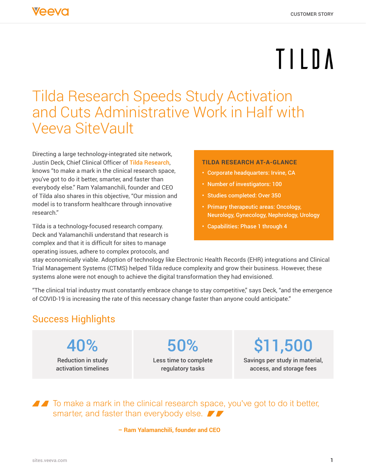# TILDA

## Tilda Research Speeds Study Activation and Cuts Administrative Work in Half with Veeva SiteVault

Directing a large technology-integrated site network, Justin Deck, Chief Clinical Officer of Tilda Research, knows "to make a mark in the clinical research space, you've got to do it better, smarter, and faster than everybody else." Ram Yalamanchili, founder and CEO of Tilda also shares in this objective, "Our mission and model is to transform healthcare through innovative research."

Tilda is a technology-focused research company. Deck and Yalamanchili understand that research is complex and that it is difficult for sites to manage operating issues, adhere to complex protocols, and

#### **TILDA RESEARCH AT-A-GLANCE**

- Corporate headquarters: Irvine, CA
- Number of investigators: 100
- Studies completed: Over 350
- Primary therapeutic areas: Oncology, Neurology, Gynecology, Nephrology, Urology
- Capabilities: Phase 1 through 4

stay economically viable. Adoption of technology like Electronic Health Records (EHR) integrations and Clinical Trial Management Systems (CTMS) helped Tilda reduce complexity and grow their business. However, these systems alone were not enough to achieve the digital transformation they had envisioned.

"The clinical trial industry must constantly embrace change to stay competitive," says Deck, "and the emergence of COVID-19 is increasing the rate of this necessary change faster than anyone could anticipate."

#### Success Highlights

40% Reduction in study activation timelines 50%

Less time to complete regulatory tasks

\$11,500

Savings per study in material, access, and storage fees

■ To make a mark in the clinical research space, you've got to do it better, smarter, and faster than everybody else.

**– Ram Yalamanchili, founder and CEO**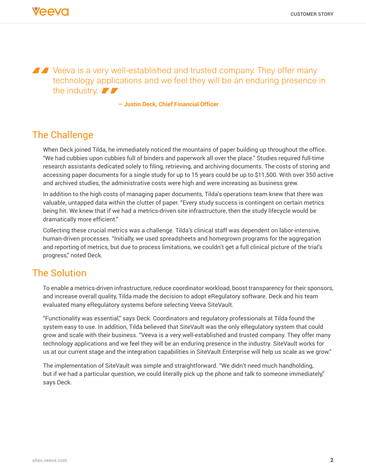Veeva is a very well-established and trusted company. They offer many technology applications and we feel they will be an enduring presence in the industry.  $\blacktriangleright$ 

**– Justin Deck, Chief Financial Officer**

#### The Challenge

When Deck joined Tilda, he immediately noticed the mountains of paper building up throughout the office. "We had cubbies upon cubbies full of binders and paperwork all over the place." Studies required full-time research assistants dedicated solely to filing, retrieving, and archiving documents. The costs of storing and accessing paper documents for a single study for up to 15 years could be up to \$11,500. With over 350 active and archived studies, the administrative costs were high and were increasing as business grew.

In addition to the high costs of managing paper documents, Tilda's operations team knew that there was valuable, untapped data within the clutter of paper. "Every study success is contingent on certain metrics being hit. We knew that if we had a metrics-driven site infrastructure, then the study lifecycle would be dramatically more efficient."

Collecting these crucial metrics was a challenge. Tilda's clinical staff was dependent on labor-intensive, human-driven processes. "Initially, we used spreadsheets and homegrown programs for the aggregation and reporting of metrics, but due to process limitations, we couldn't get a full clinical picture of the trial's progress," noted Deck.

#### The Solution

To enable a metrics-driven infrastructure, reduce coordinator workload, boost transparency for their sponsors, and increase overall quality, Tilda made the decision to adopt eRegulatory software. Deck and his team evaluated many eRegulatory systems before selecting Veeva SiteVault.

"Functionality was essential," says Deck. Coordinators and regulatory professionals at Tilda found the system easy to use. In addition, Tilda believed that SiteVault was the only eRegulatory system that could grow and scale with their business. "Veeva is a very well-established and trusted company. They offer many technology applications and we feel they will be an enduring presence in the industry. SiteVault works for us at our current stage and the integration capabilities in SiteVault Enterprise will help us scale as we grow."

The implementation of SiteVault was simple and straightforward. "We didn't need much handholding, but if we had a particular question, we could literally pick up the phone and talk to someone immediately," says Deck.